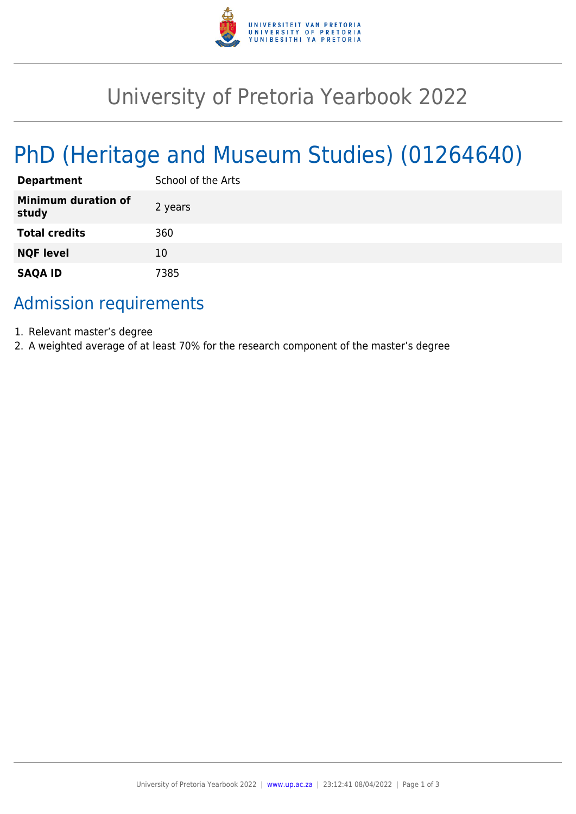

# University of Pretoria Yearbook 2022

# PhD (Heritage and Museum Studies) (01264640)

| <b>Department</b>                   | School of the Arts |
|-------------------------------------|--------------------|
| <b>Minimum duration of</b><br>study | 2 years            |
| <b>Total credits</b>                | 360                |
| <b>NQF level</b>                    | 10                 |
| <b>SAQA ID</b>                      | 7385               |

## Admission requirements

- 1. Relevant master's degree
- 2. A weighted average of at least 70% for the research component of the master's degree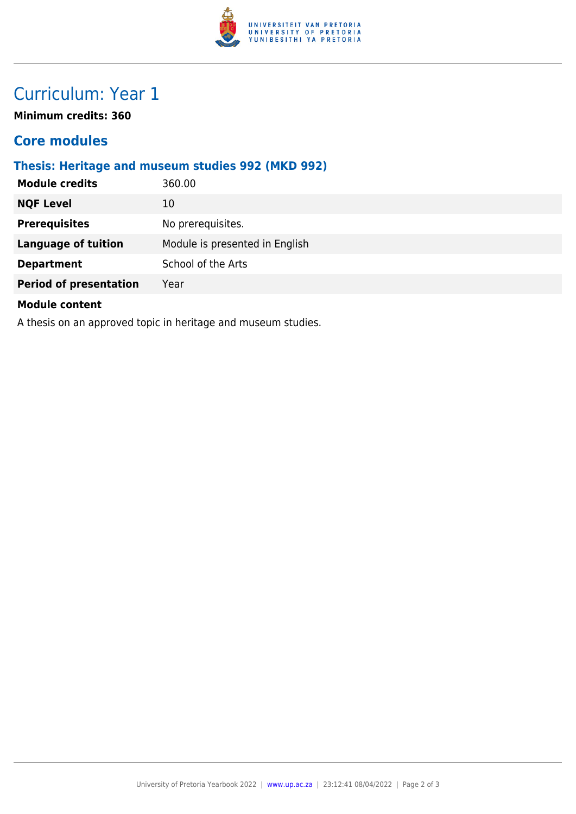

## Curriculum: Year 1

**Minimum credits: 360**

### **Core modules**

#### **Thesis: Heritage and museum studies 992 (MKD 992)**

| <b>Module credits</b>         | 360.00                         |
|-------------------------------|--------------------------------|
| <b>NQF Level</b>              | 10                             |
| <b>Prerequisites</b>          | No prerequisites.              |
| <b>Language of tuition</b>    | Module is presented in English |
| <b>Department</b>             | School of the Arts             |
| <b>Period of presentation</b> | Year                           |
| <b>Module content</b>         |                                |

A thesis on an approved topic in heritage and museum studies.